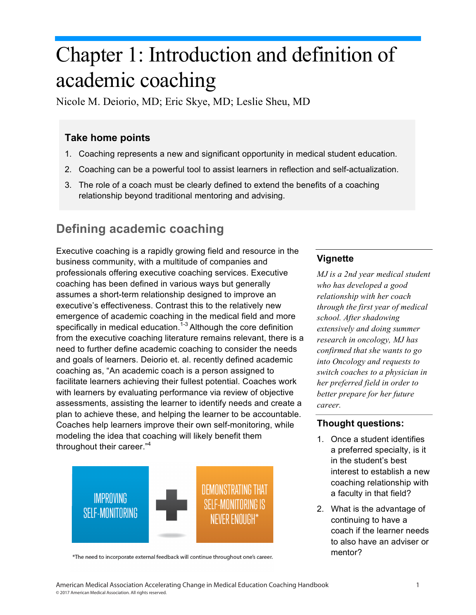# Chapter 1: Introduction and definition of academic coaching

Nicole M. Deiorio, MD; Eric Skye, MD; Leslie Sheu, MD

### **Take home points**

- 1. Coaching represents a new and significant opportunity in medical student education.
- 2. Coaching can be a powerful tool to assist learners in reflection and self-actualization.
- 3. The role of a coach must be clearly defined to extend the benefits of a coaching relationship beyond traditional mentoring and advising.

# **Defining academic coaching**

Executive coaching is a rapidly growing field and resource in the business community, with a multitude of companies and professionals offering executive coaching services. Executive coaching has been defined in various ways but generally assumes a short-term relationship designed to improve an executive's effectiveness. Contrast this to the relatively new emergence of academic coaching in the medical field and more specifically in medical education.<sup>1-3</sup> Although the core definition from the executive coaching literature remains relevant, there is a need to further define academic coaching to consider the needs and goals of learners. Deiorio et. al. recently defined academic coaching as, "An academic coach is a person assigned to facilitate learners achieving their fullest potential. Coaches work with learners by evaluating performance via review of objective assessments, assisting the learner to identify needs and create a plan to achieve these, and helping the learner to be accountable. Coaches help learners improve their own self-monitoring, while modeling the idea that coaching will likely benefit them throughout their career."<sup>4</sup>



\*The need to incorporate external feedback will continue throughout one's career.

#### **Vignette**

*MJ is a 2nd year medical student who has developed a good relationship with her coach through the first year of medical school. After shadowing extensively and doing summer research in oncology, MJ has confirmed that she wants to go into Oncology and requests to switch coaches to a physician in her preferred field in order to better prepare for her future career.* 

#### **Thought questions:**

- 1. Once a student identifies a preferred specialty, is it in the student's best interest to establish a new coaching relationship with a faculty in that field?
- 2. What is the advantage of continuing to have a coach if the learner needs to also have an adviser or mentor?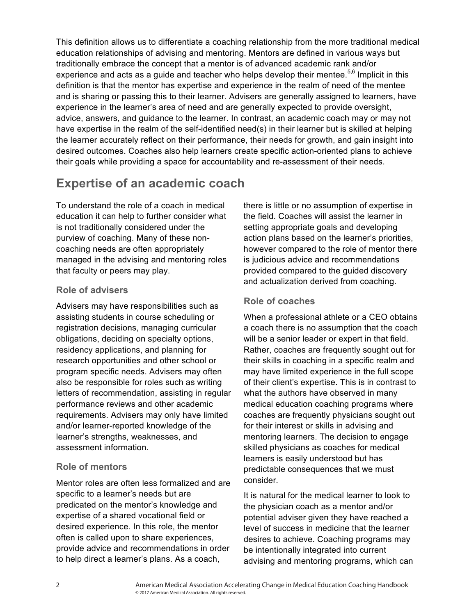This definition allows us to differentiate a coaching relationship from the more traditional medical education relationships of advising and mentoring. Mentors are defined in various ways but traditionally embrace the concept that a mentor is of advanced academic rank and/or experience and acts as a guide and teacher who helps develop their mentee.<sup>5,6</sup> Implicit in this definition is that the mentor has expertise and experience in the realm of need of the mentee and is sharing or passing this to their learner. Advisers are generally assigned to learners, have experience in the learner's area of need and are generally expected to provide oversight, advice, answers, and guidance to the learner. In contrast, an academic coach may or may not have expertise in the realm of the self-identified need(s) in their learner but is skilled at helping the learner accurately reflect on their performance, their needs for growth, and gain insight into desired outcomes. Coaches also help learners create specific action-oriented plans to achieve their goals while providing a space for accountability and re-assessment of their needs.

## **Expertise of an academic coach**

To understand the role of a coach in medical education it can help to further consider what is not traditionally considered under the purview of coaching. Many of these noncoaching needs are often appropriately managed in the advising and mentoring roles that faculty or peers may play.

#### **Role of advisers**

Advisers may have responsibilities such as assisting students in course scheduling or registration decisions, managing curricular obligations, deciding on specialty options, residency applications, and planning for research opportunities and other school or program specific needs. Advisers may often also be responsible for roles such as writing letters of recommendation, assisting in regular performance reviews and other academic requirements. Advisers may only have limited and/or learner-reported knowledge of the learner's strengths, weaknesses, and assessment information.

#### **Role of mentors**

Mentor roles are often less formalized and are specific to a learner's needs but are predicated on the mentor's knowledge and expertise of a shared vocational field or desired experience. In this role, the mentor often is called upon to share experiences, provide advice and recommendations in order to help direct a learner's plans. As a coach,

there is little or no assumption of expertise in the field. Coaches will assist the learner in setting appropriate goals and developing action plans based on the learner's priorities, however compared to the role of mentor there is judicious advice and recommendations provided compared to the guided discovery and actualization derived from coaching.

#### **Role of coaches**

When a professional athlete or a CEO obtains a coach there is no assumption that the coach will be a senior leader or expert in that field. Rather, coaches are frequently sought out for their skills in coaching in a specific realm and may have limited experience in the full scope of their client's expertise. This is in contrast to what the authors have observed in many medical education coaching programs where coaches are frequently physicians sought out for their interest or skills in advising and mentoring learners. The decision to engage skilled physicians as coaches for medical learners is easily understood but has predictable consequences that we must consider.

It is natural for the medical learner to look to the physician coach as a mentor and/or potential adviser given they have reached a level of success in medicine that the learner desires to achieve. Coaching programs may be intentionally integrated into current advising and mentoring programs, which can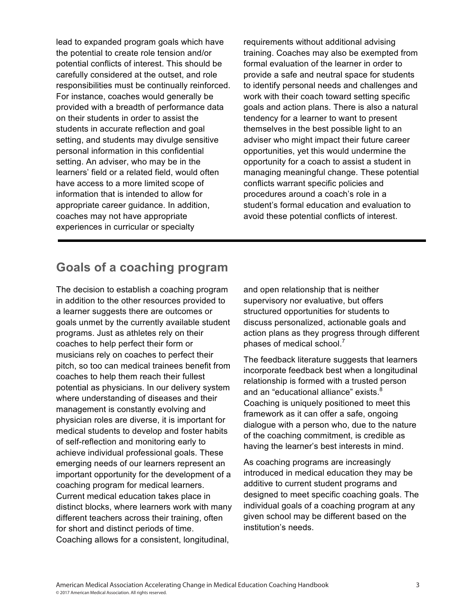lead to expanded program goals which have the potential to create role tension and/or potential conflicts of interest. This should be carefully considered at the outset, and role responsibilities must be continually reinforced. For instance, coaches would generally be provided with a breadth of performance data on their students in order to assist the students in accurate reflection and goal setting, and students may divulge sensitive personal information in this confidential setting. An adviser, who may be in the learners' field or a related field, would often have access to a more limited scope of information that is intended to allow for appropriate career guidance. In addition, coaches may not have appropriate experiences in curricular or specialty

requirements without additional advising training. Coaches may also be exempted from formal evaluation of the learner in order to provide a safe and neutral space for students to identify personal needs and challenges and work with their coach toward setting specific goals and action plans. There is also a natural tendency for a learner to want to present themselves in the best possible light to an adviser who might impact their future career opportunities, yet this would undermine the opportunity for a coach to assist a student in managing meaningful change. These potential conflicts warrant specific policies and procedures around a coach's role in a student's formal education and evaluation to avoid these potential conflicts of interest.

## **Goals of a coaching program**

The decision to establish a coaching program in addition to the other resources provided to a learner suggests there are outcomes or goals unmet by the currently available student programs. Just as athletes rely on their coaches to help perfect their form or musicians rely on coaches to perfect their pitch, so too can medical trainees benefit from coaches to help them reach their fullest potential as physicians. In our delivery system where understanding of diseases and their management is constantly evolving and physician roles are diverse, it is important for medical students to develop and foster habits of self-reflection and monitoring early to achieve individual professional goals. These emerging needs of our learners represent an important opportunity for the development of a coaching program for medical learners. Current medical education takes place in distinct blocks, where learners work with many different teachers across their training, often for short and distinct periods of time. Coaching allows for a consistent, longitudinal,

and open relationship that is neither supervisory nor evaluative, but offers structured opportunities for students to discuss personalized, actionable goals and action plans as they progress through different phases of medical school.<sup>7</sup>

The feedback literature suggests that learners incorporate feedback best when a longitudinal relationship is formed with a trusted person and an "educational alliance" exists.<sup>8</sup> Coaching is uniquely positioned to meet this framework as it can offer a safe, ongoing dialogue with a person who, due to the nature of the coaching commitment, is credible as having the learner's best interests in mind.

As coaching programs are increasingly introduced in medical education they may be additive to current student programs and designed to meet specific coaching goals. The individual goals of a coaching program at any given school may be different based on the institution's needs.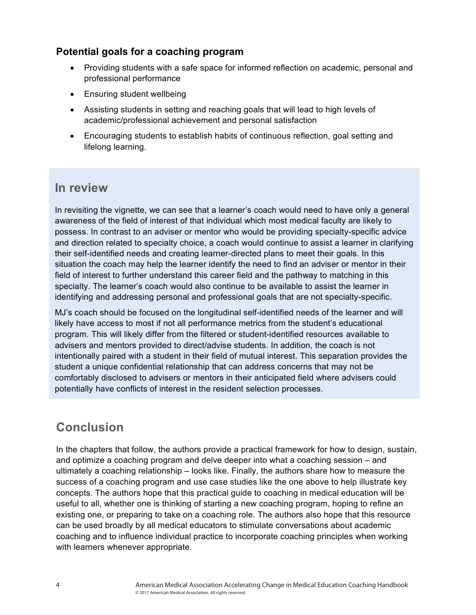#### **Potential goals for a coaching program**

- Providing students with a safe space for informed reflection on academic, personal and professional performance
- Ensuring student wellbeing
- Assisting students in setting and reaching goals that will lead to high levels of academic/professional achievement and personal satisfaction
- Encouraging students to establish habits of continuous reflection, goal setting and lifelong learning.

## **In review**

In revisiting the vignette, we can see that a learner's coach would need to have only a general awareness of the field of interest of that individual which most medical faculty are likely to possess. In contrast to an adviser or mentor who would be providing specialty-specific advice and direction related to specialty choice, a coach would continue to assist a learner in clarifying their self-identified needs and creating learner-directed plans to meet their goals. In this situation the coach may help the learner identify the need to find an adviser or mentor in their field of interest to further understand this career field and the pathway to matching in this specialty. The learner's coach would also continue to be available to assist the learner in identifying and addressing personal and professional goals that are not specialty-specific.

MJ's coach should be focused on the longitudinal self-identified needs of the learner and will likely have access to most if not all performance metrics from the student's educational program. This will likely differ from the filtered or student-identified resources available to advisers and mentors provided to direct/advise students. In addition, the coach is not intentionally paired with a student in their field of mutual interest. This separation provides the student a unique confidential relationship that can address concerns that may not be comfortably disclosed to advisers or mentors in their anticipated field where advisers could potentially have conflicts of interest in the resident selection processes.

## **Conclusion**

In the chapters that follow, the authors provide a practical framework for how to design, sustain, and optimize a coaching program and delve deeper into what a coaching session – and ultimately a coaching relationship – looks like. Finally, the authors share how to measure the success of a coaching program and use case studies like the one above to help illustrate key concepts. The authors hope that this practical guide to coaching in medical education will be useful to all, whether one is thinking of starting a new coaching program, hoping to refine an existing one, or preparing to take on a coaching role. The authors also hope that this resource can be used broadly by all medical educators to stimulate conversations about academic coaching and to influence individual practice to incorporate coaching principles when working with learners whenever appropriate.